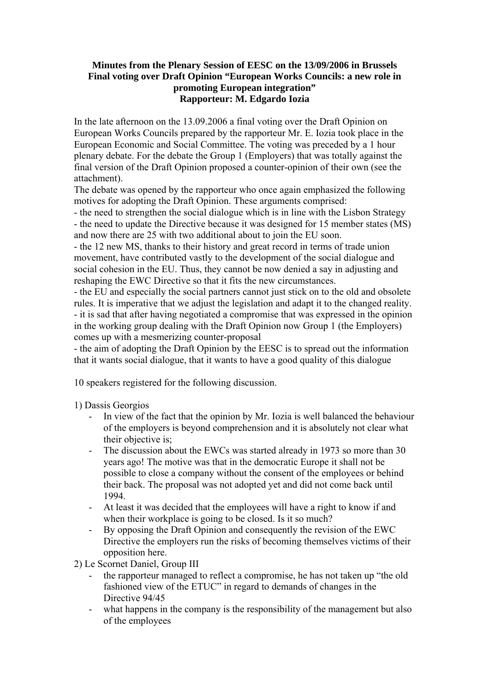# **Minutes from the Plenary Session of EESC on the 13/09/2006 in Brussels Final voting over Draft Opinion "European Works Councils: a new role in promoting European integration" Rapporteur: M. Edgardo Iozia**

In the late afternoon on the 13.09.2006 a final voting over the Draft Opinion on European Works Councils prepared by the rapporteur Mr. E. Iozia took place in the European Economic and Social Committee. The voting was preceded by a 1 hour plenary debate. For the debate the Group 1 (Employers) that was totally against the final version of the Draft Opinion proposed a counter-opinion of their own (see the attachment).

The debate was opened by the rapporteur who once again emphasized the following motives for adopting the Draft Opinion. These arguments comprised:

- the need to strengthen the social dialogue which is in line with the Lisbon Strategy - the need to update the Directive because it was designed for 15 member states (MS) and now there are 25 with two additional about to join the EU soon.

- the 12 new MS, thanks to their history and great record in terms of trade union movement, have contributed vastly to the development of the social dialogue and social cohesion in the EU. Thus, they cannot be now denied a say in adjusting and reshaping the EWC Directive so that it fits the new circumstances.

- the EU and especially the social partners cannot just stick on to the old and obsolete rules. It is imperative that we adjust the legislation and adapt it to the changed reality. - it is sad that after having negotiated a compromise that was expressed in the opinion in the working group dealing with the Draft Opinion now Group 1 (the Employers) comes up with a mesmerizing counter-proposal

- the aim of adopting the Draft Opinion by the EESC is to spread out the information that it wants social dialogue, that it wants to have a good quality of this dialogue

10 speakers registered for the following discussion.

1) Dassis Georgios

- In view of the fact that the opinion by Mr. Iozia is well balanced the behaviour of the employers is beyond comprehension and it is absolutely not clear what their objective is:
- The discussion about the EWCs was started already in 1973 so more than 30 years ago! The motive was that in the democratic Europe it shall not be possible to close a company without the consent of the employees or behind their back. The proposal was not adopted yet and did not come back until 1994.
- At least it was decided that the employees will have a right to know if and when their workplace is going to be closed. Is it so much?
- By opposing the Draft Opinion and consequently the revision of the EWC Directive the employers run the risks of becoming themselves victims of their opposition here.
- 2) Le Scornet Daniel, Group III
	- the rapporteur managed to reflect a compromise, he has not taken up "the old fashioned view of the ETUC" in regard to demands of changes in the Directive 94/45
	- what happens in the company is the responsibility of the management but also of the employees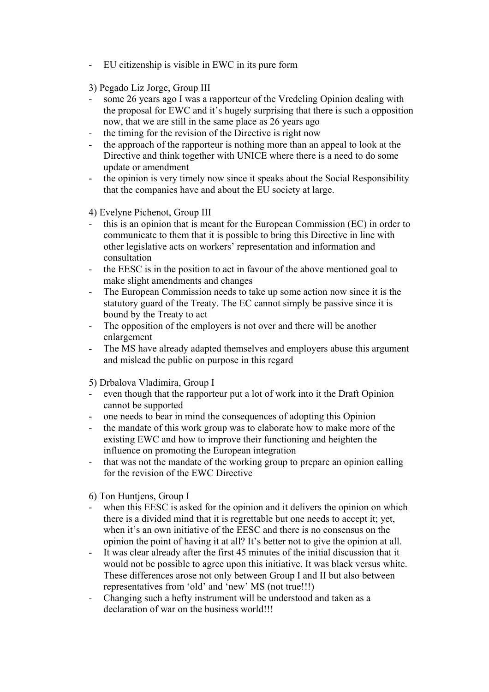- EU citizenship is visible in EWC in its pure form

3) Pegado Liz Jorge, Group III

- some 26 years ago I was a rapporteur of the Vredeling Opinion dealing with the proposal for EWC and it's hugely surprising that there is such a opposition now, that we are still in the same place as 26 years ago
- the timing for the revision of the Directive is right now
- the approach of the rapporteur is nothing more than an appeal to look at the Directive and think together with UNICE where there is a need to do some update or amendment
- the opinion is very timely now since it speaks about the Social Responsibility that the companies have and about the EU society at large.

4) Evelyne Pichenot, Group III

- this is an opinion that is meant for the European Commission (EC) in order to communicate to them that it is possible to bring this Directive in line with other legislative acts on workers' representation and information and consultation
- the EESC is in the position to act in favour of the above mentioned goal to make slight amendments and changes
- The European Commission needs to take up some action now since it is the statutory guard of the Treaty. The EC cannot simply be passive since it is bound by the Treaty to act
- The opposition of the employers is not over and there will be another enlargement
- The MS have already adapted themselves and employers abuse this argument and mislead the public on purpose in this regard

5) Drbalova Vladimira, Group I

- even though that the rapporteur put a lot of work into it the Draft Opinion cannot be supported
- one needs to bear in mind the consequences of adopting this Opinion
- the mandate of this work group was to elaborate how to make more of the existing EWC and how to improve their functioning and heighten the influence on promoting the European integration
- that was not the mandate of the working group to prepare an opinion calling for the revision of the EWC Directive

6) Ton Huntjens, Group I

- when this EESC is asked for the opinion and it delivers the opinion on which there is a divided mind that it is regrettable but one needs to accept it; yet, when it's an own initiative of the EESC and there is no consensus on the opinion the point of having it at all? It's better not to give the opinion at all.
- It was clear already after the first 45 minutes of the initial discussion that it would not be possible to agree upon this initiative. It was black versus white. These differences arose not only between Group I and II but also between representatives from 'old' and 'new' MS (not true!!!)
- Changing such a hefty instrument will be understood and taken as a declaration of war on the business world!!!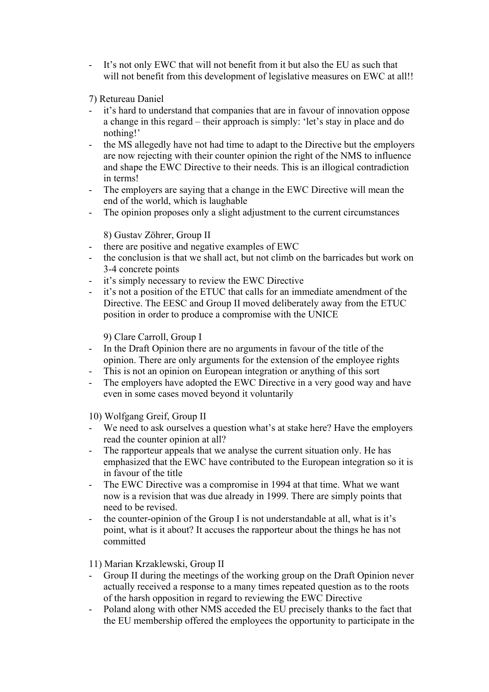It's not only EWC that will not benefit from it but also the EU as such that will not benefit from this development of legislative measures on EWC at all!!

7) Retureau Daniel

- it's hard to understand that companies that are in favour of innovation oppose a change in this regard – their approach is simply: 'let's stay in place and do nothing!'
- the MS allegedly have not had time to adapt to the Directive but the employers are now rejecting with their counter opinion the right of the NMS to influence and shape the EWC Directive to their needs. This is an illogical contradiction in terms!
- The employers are saying that a change in the EWC Directive will mean the end of the world, which is laughable
- The opinion proposes only a slight adjustment to the current circumstances

8) Gustav Zöhrer, Group II

- there are positive and negative examples of EWC
- the conclusion is that we shall act, but not climb on the barricades but work on 3-4 concrete points
- it's simply necessary to review the EWC Directive
- it's not a position of the ETUC that calls for an immediate amendment of the Directive. The EESC and Group II moved deliberately away from the ETUC position in order to produce a compromise with the UNICE

9) Clare Carroll, Group I

- In the Draft Opinion there are no arguments in favour of the title of the opinion. There are only arguments for the extension of the employee rights
- This is not an opinion on European integration or anything of this sort
- The employers have adopted the EWC Directive in a very good way and have even in some cases moved beyond it voluntarily

10) Wolfgang Greif, Group II

- We need to ask ourselves a question what's at stake here? Have the employers read the counter opinion at all?
- The rapporteur appeals that we analyse the current situation only. He has emphasized that the EWC have contributed to the European integration so it is in favour of the title
- The EWC Directive was a compromise in 1994 at that time. What we want now is a revision that was due already in 1999. There are simply points that need to be revised.
- the counter-opinion of the Group I is not understandable at all, what is it's point, what is it about? It accuses the rapporteur about the things he has not committed

11) Marian Krzaklewski, Group II

- Group II during the meetings of the working group on the Draft Opinion never actually received a response to a many times repeated question as to the roots of the harsh opposition in regard to reviewing the EWC Directive
- Poland along with other NMS acceded the EU precisely thanks to the fact that the EU membership offered the employees the opportunity to participate in the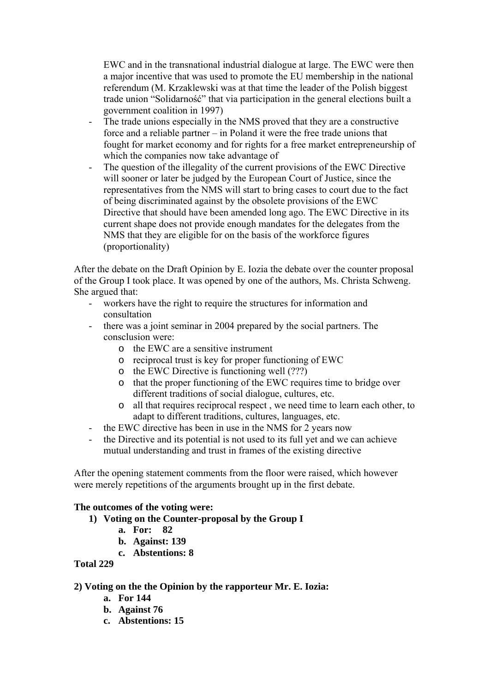EWC and in the transnational industrial dialogue at large. The EWC were then a major incentive that was used to promote the EU membership in the national referendum (M. Krzaklewski was at that time the leader of the Polish biggest trade union "Solidarność" that via participation in the general elections built a government coalition in 1997)

- The trade unions especially in the NMS proved that they are a constructive force and a reliable partner – in Poland it were the free trade unions that fought for market economy and for rights for a free market entrepreneurship of which the companies now take advantage of
- The question of the illegality of the current provisions of the EWC Directive will sooner or later be judged by the European Court of Justice, since the representatives from the NMS will start to bring cases to court due to the fact of being discriminated against by the obsolete provisions of the EWC Directive that should have been amended long ago. The EWC Directive in its current shape does not provide enough mandates for the delegates from the NMS that they are eligible for on the basis of the workforce figures (proportionality)

After the debate on the Draft Opinion by E. Iozia the debate over the counter proposal of the Group I took place. It was opened by one of the authors, Ms. Christa Schweng. She argued that:

- workers have the right to require the structures for information and consultation
- there was a joint seminar in 2004 prepared by the social partners. The consclusion were:
	- o the EWC are a sensitive instrument
	- o reciprocal trust is key for proper functioning of EWC
	- o the EWC Directive is functioning well (???)
	- o that the proper functioning of the EWC requires time to bridge over different traditions of social dialogue, cultures, etc.
	- o all that requires reciprocal respect , we need time to learn each other, to adapt to different traditions, cultures, languages, etc.
- the EWC directive has been in use in the NMS for 2 years now
- the Directive and its potential is not used to its full yet and we can achieve mutual understanding and trust in frames of the existing directive

After the opening statement comments from the floor were raised, which however were merely repetitions of the arguments brought up in the first debate.

## **The outcomes of the voting were:**

- **1) Voting on the Counter-proposal by the Group I** 
	- **a. For: 82**
	- **b. Against: 139**
	- **c. Abstentions: 8**

## **Total 229**

## **2) Voting on the the Opinion by the rapporteur Mr. E. Iozia:**

- **a. For 144**
- **b. Against 76**
- **c. Abstentions: 15**